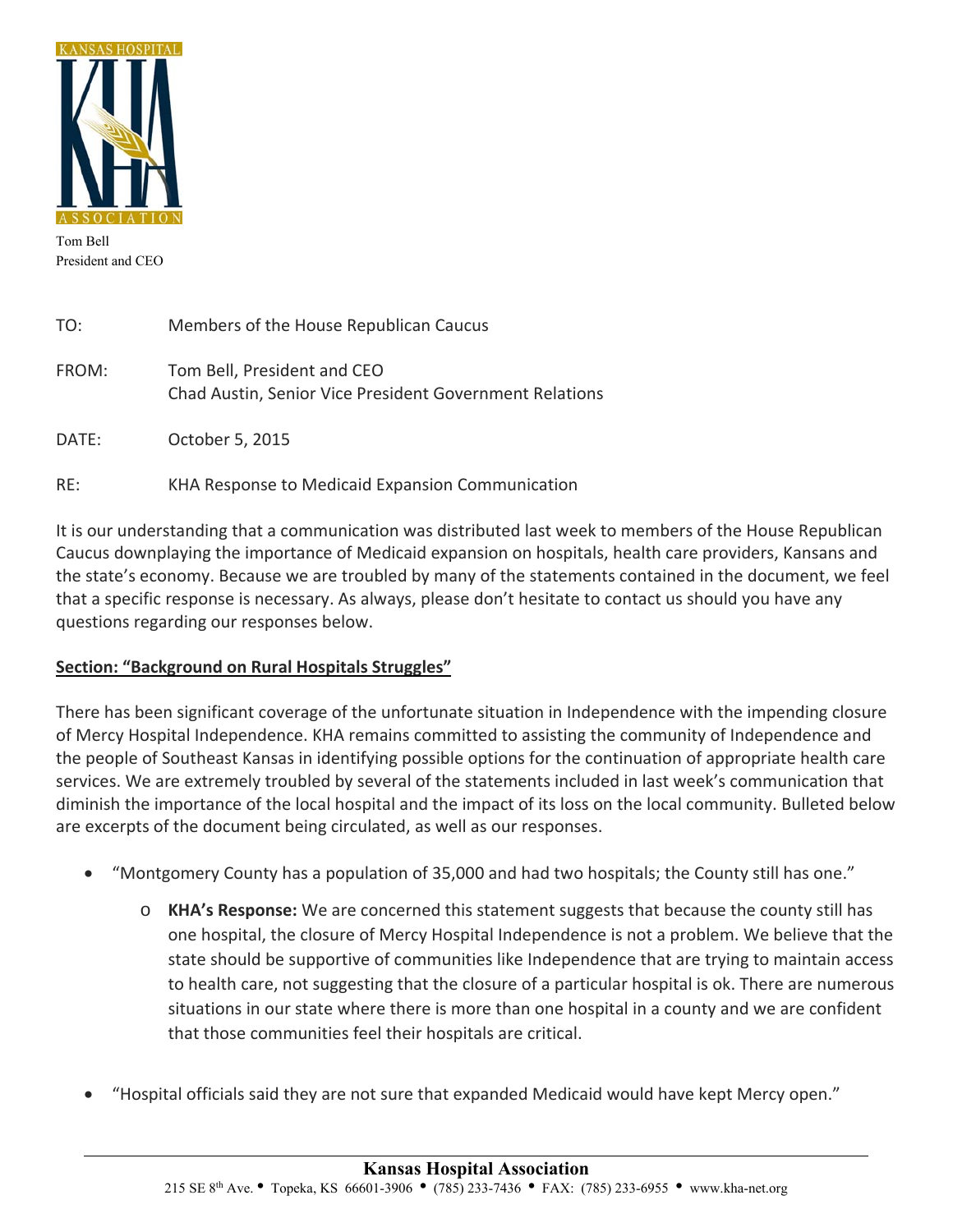

Tom Bell President and CEO

֦

| TO:   | Members of the House Republican Caucus                                                 |
|-------|----------------------------------------------------------------------------------------|
| FROM: | Tom Bell, President and CEO<br>Chad Austin, Senior Vice President Government Relations |
| DATE: | October 5, 2015                                                                        |
| RE:   | KHA Response to Medicaid Expansion Communication                                       |

It is our understanding that a communication was distributed last week to members of the House Republican Caucus downplaying the importance of Medicaid expansion on hospitals, health care providers, Kansans and the state's economy. Because we are troubled by many of the statements contained in the document, we feel that a specific response is necessary. As always, please don't hesitate to contact us should you have any questions regarding our responses below.

## **Section: "Background on Rural Hospitals Struggles"**

There has been significant coverage of the unfortunate situation in Independence with the impending closure of Mercy Hospital Independence. KHA remains committed to assisting the community of Independence and the people of Southeast Kansas in identifying possible options for the continuation of appropriate health care services. We are extremely troubled by several of the statements included in last week's communication that diminish the importance of the local hospital and the impact of its loss on the local community. Bulleted below are excerpts of the document being circulated, as well as our responses.

- "Montgomery County has a population of 35,000 and had two hospitals; the County still has one."
	- o **KHA's Response:** We are concerned this statement suggests that because the county still has one hospital, the closure of Mercy Hospital Independence is not a problem. We believe that the state should be supportive of communities like Independence that are trying to maintain access to health care, not suggesting that the closure of a particular hospital is ok. There are numerous situations in our state where there is more than one hospital in a county and we are confident that those communities feel their hospitals are critical.
- "Hospital officials said they are not sure that expanded Medicaid would have kept Mercy open."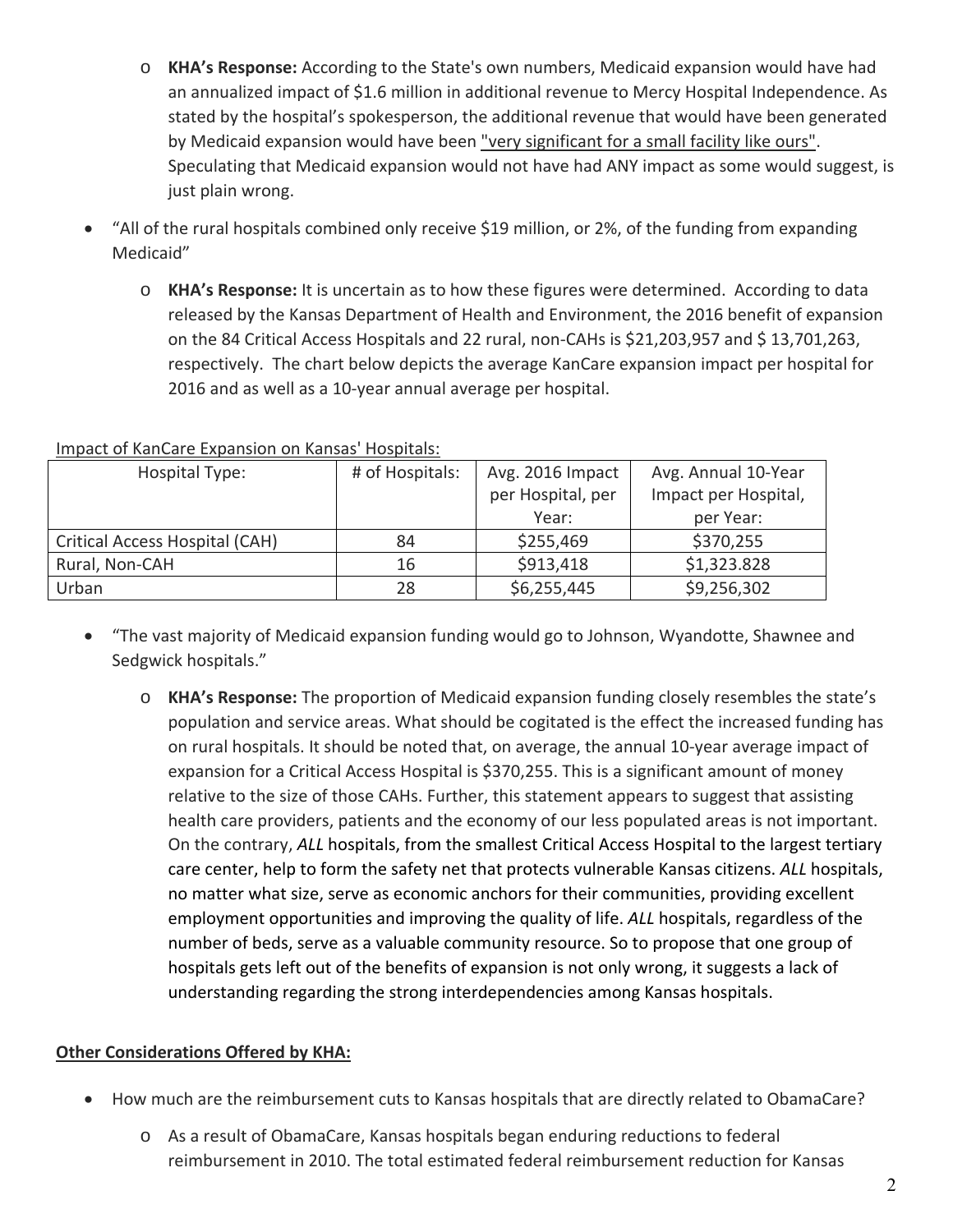- o **KHA's Response:** According to the State's own numbers, Medicaid expansion would have had an annualized impact of \$1.6 million in additional revenue to Mercy Hospital Independence. As stated by the hospital's spokesperson, the additional revenue that would have been generated by Medicaid expansion would have been "very significant for a small facility like ours". Speculating that Medicaid expansion would not have had ANY impact as some would suggest, is just plain wrong.
- "All of the rural hospitals combined only receive \$19 million, or 2%, of the funding from expanding Medicaid"
	- o **KHA's Response:** It is uncertain as to how these figures were determined. According to data released by the Kansas Department of Health and Environment, the 2016 benefit of expansion on the 84 Critical Access Hospitals and 22 rural, non‐CAHs is \$21,203,957 and \$ 13,701,263, respectively. The chart below depicts the average KanCare expansion impact per hospital for 2016 and as well as a 10‐year annual average per hospital.

| Hospital Type:                 | # of Hospitals: | Avg. 2016 Impact  | Avg. Annual 10-Year  |  |
|--------------------------------|-----------------|-------------------|----------------------|--|
|                                |                 | per Hospital, per | Impact per Hospital, |  |
|                                |                 | Year:             | per Year:            |  |
| Critical Access Hospital (CAH) | 84              | \$255,469         | \$370,255            |  |
| Rural, Non-CAH                 | 16              | \$913,418         | \$1,323.828          |  |
| Urban                          | 28              | \$6,255,445       | \$9,256,302          |  |

### Impact of KanCare Expansion on Kansas' Hospitals:

- "The vast majority of Medicaid expansion funding would go to Johnson, Wyandotte, Shawnee and Sedgwick hospitals."
	- o **KHA's Response:** The proportion of Medicaid expansion funding closely resembles the state's population and service areas. What should be cogitated is the effect the increased funding has on rural hospitals. It should be noted that, on average, the annual 10‐year average impact of expansion for a Critical Access Hospital is \$370,255. This is a significant amount of money relative to the size of those CAHs. Further, this statement appears to suggest that assisting health care providers, patients and the economy of our less populated areas is not important. On the contrary, *ALL* hospitals, from the smallest Critical Access Hospital to the largest tertiary care center, help to form the safety net that protects vulnerable Kansas citizens. *ALL* hospitals, no matter what size, serve as economic anchors for their communities, providing excellent employment opportunities and improving the quality of life. *ALL* hospitals, regardless of the number of beds, serve as a valuable community resource. So to propose that one group of hospitals gets left out of the benefits of expansion is not only wrong, it suggests a lack of understanding regarding the strong interdependencies among Kansas hospitals.

## **Other Considerations Offered by KHA:**

- How much are the reimbursement cuts to Kansas hospitals that are directly related to ObamaCare?
	- o As a result of ObamaCare, Kansas hospitals began enduring reductions to federal reimbursement in 2010. The total estimated federal reimbursement reduction for Kansas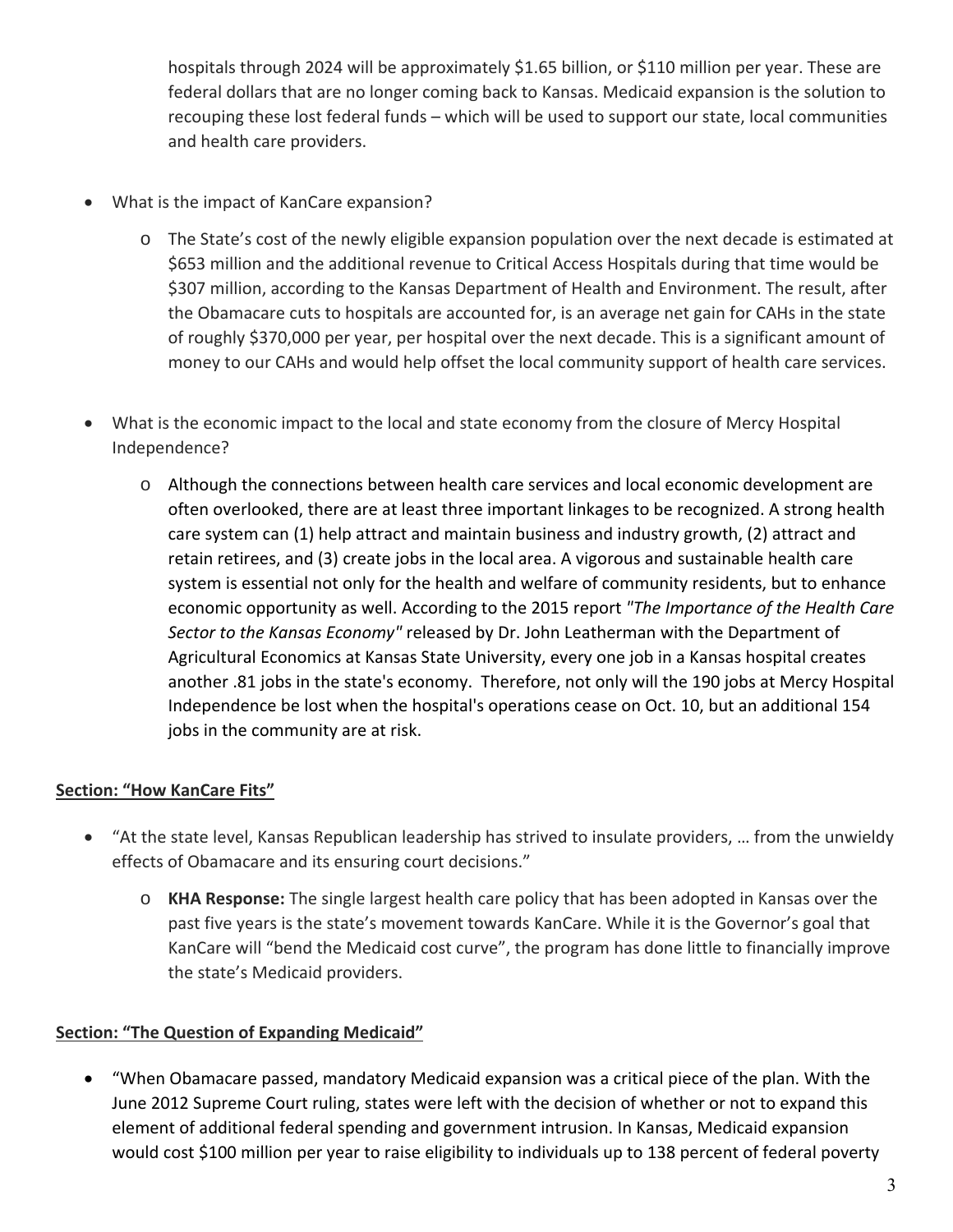hospitals through 2024 will be approximately \$1.65 billion, or \$110 million per year. These are federal dollars that are no longer coming back to Kansas. Medicaid expansion is the solution to recouping these lost federal funds – which will be used to support our state, local communities and health care providers.

- What is the impact of KanCare expansion?
	- o The State's cost of the newly eligible expansion population over the next decade is estimated at \$653 million and the additional revenue to Critical Access Hospitals during that time would be \$307 million, according to the Kansas Department of Health and Environment. The result, after the Obamacare cuts to hospitals are accounted for, is an average net gain for CAHs in the state of roughly \$370,000 per year, per hospital over the next decade. This is a significant amount of money to our CAHs and would help offset the local community support of health care services.
- What is the economic impact to the local and state economy from the closure of Mercy Hospital Independence?
	- o Although the connections between health care services and local economic development are often overlooked, there are at least three important linkages to be recognized. A strong health care system can (1) help attract and maintain business and industry growth, (2) attract and retain retirees, and (3) create jobs in the local area. A vigorous and sustainable health care system is essential not only for the health and welfare of community residents, but to enhance economic opportunity as well. According to the 2015 report *"The Importance of the Health Care Sector to the Kansas Economy"* released by Dr. John Leatherman with the Department of Agricultural Economics at Kansas State University, every one job in a Kansas hospital creates another .81 jobs in the state's economy. Therefore, not only will the 190 jobs at Mercy Hospital Independence be lost when the hospital's operations cease on Oct. 10, but an additional 154 jobs in the community are at risk.

# **Section: "How KanCare Fits"**

- "At the state level, Kansas Republican leadership has strived to insulate providers, … from the unwieldy effects of Obamacare and its ensuring court decisions."
	- o **KHA Response:** The single largest health care policy that has been adopted in Kansas over the past five years is the state's movement towards KanCare. While it is the Governor's goal that KanCare will "bend the Medicaid cost curve", the program has done little to financially improve the state's Medicaid providers.

## **Section: "The Question of Expanding Medicaid"**

 "When Obamacare passed, mandatory Medicaid expansion was a critical piece of the plan. With the June 2012 Supreme Court ruling, states were left with the decision of whether or not to expand this element of additional federal spending and government intrusion. In Kansas, Medicaid expansion would cost \$100 million per year to raise eligibility to individuals up to 138 percent of federal poverty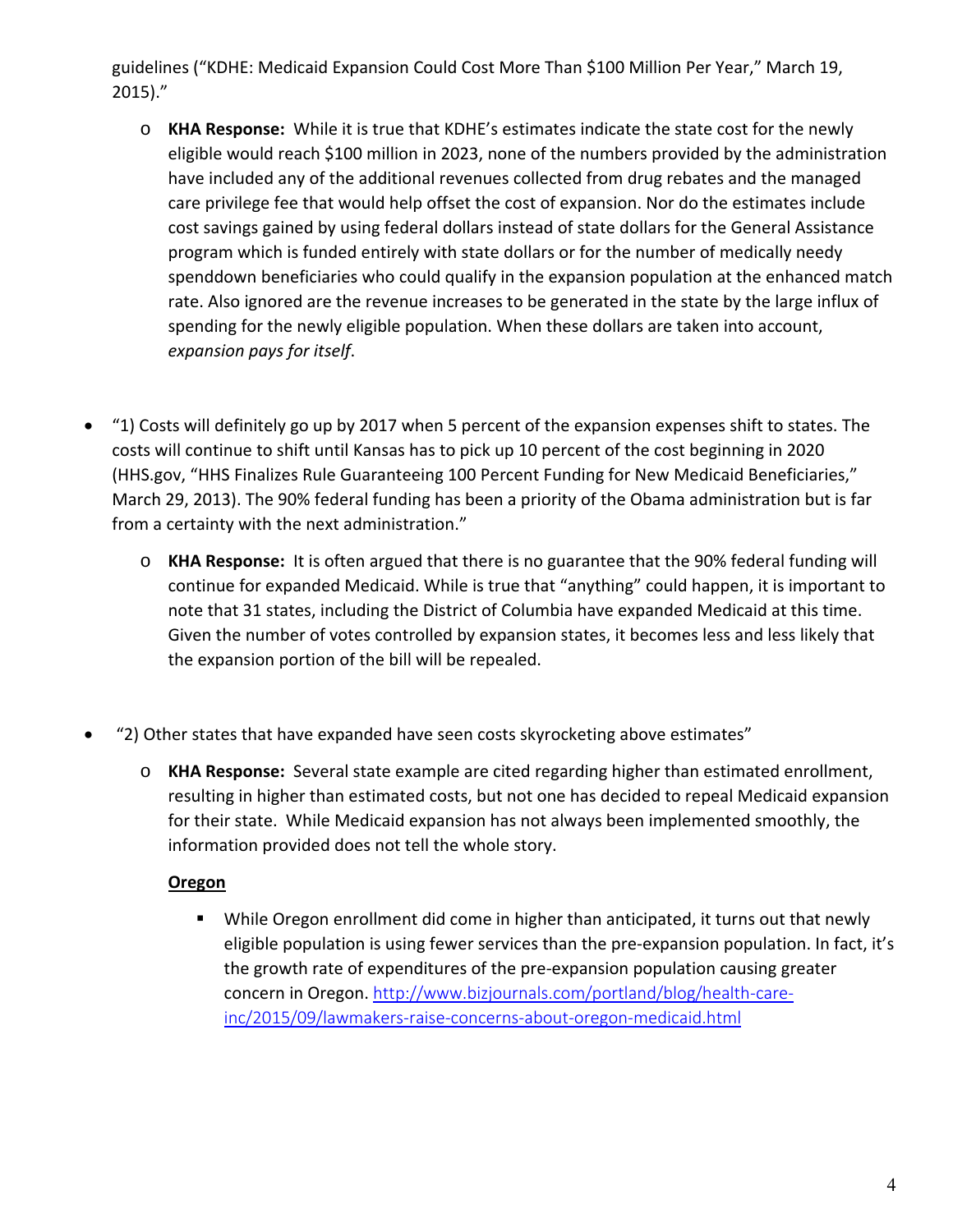guidelines ("KDHE: Medicaid Expansion Could Cost More Than \$100 Million Per Year," March 19, 2015)."

- o **KHA Response:** While it is true that KDHE's estimates indicate the state cost for the newly eligible would reach \$100 million in 2023, none of the numbers provided by the administration have included any of the additional revenues collected from drug rebates and the managed care privilege fee that would help offset the cost of expansion. Nor do the estimates include cost savings gained by using federal dollars instead of state dollars for the General Assistance program which is funded entirely with state dollars or for the number of medically needy spenddown beneficiaries who could qualify in the expansion population at the enhanced match rate. Also ignored are the revenue increases to be generated in the state by the large influx of spending for the newly eligible population. When these dollars are taken into account, *expansion pays for itself*.
- "1) Costs will definitely go up by 2017 when 5 percent of the expansion expenses shift to states. The costs will continue to shift until Kansas has to pick up 10 percent of the cost beginning in 2020 (HHS.gov, "HHS Finalizes Rule Guaranteeing 100 Percent Funding for New Medicaid Beneficiaries," March 29, 2013). The 90% federal funding has been a priority of the Obama administration but is far from a certainty with the next administration."
	- o **KHA Response:** It is often argued that there is no guarantee that the 90% federal funding will continue for expanded Medicaid. While is true that "anything" could happen, it is important to note that 31 states, including the District of Columbia have expanded Medicaid at this time. Given the number of votes controlled by expansion states, it becomes less and less likely that the expansion portion of the bill will be repealed.
- "2) Other states that have expanded have seen costs skyrocketing above estimates"
	- o **KHA Response:** Several state example are cited regarding higher than estimated enrollment, resulting in higher than estimated costs, but not one has decided to repeal Medicaid expansion for their state. While Medicaid expansion has not always been implemented smoothly, the information provided does not tell the whole story.

# **Oregon**

 While Oregon enrollment did come in higher than anticipated, it turns out that newly eligible population is using fewer services than the pre‐expansion population. In fact, it's the growth rate of expenditures of the pre‐expansion population causing greater concern in Oregon. http://www.bizjournals.com/portland/blog/health-careinc/2015/09/lawmakers-raise-concerns-about-oregon-medicaid.html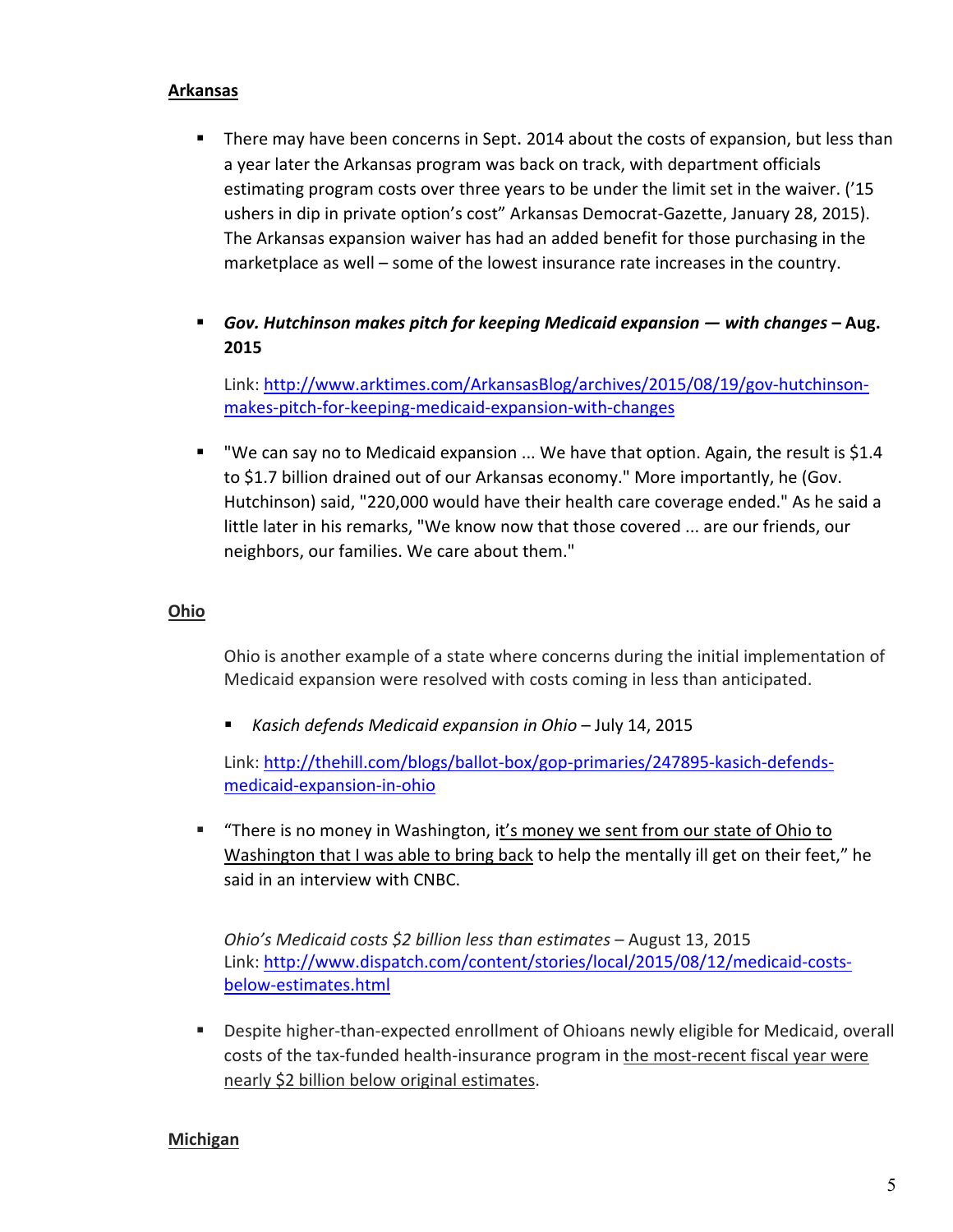### **Arkansas**

- **There may have been concerns in Sept. 2014 about the costs of expansion, but less than** a year later the Arkansas program was back on track, with department officials estimating program costs over three years to be under the limit set in the waiver. ('15 ushers in dip in private option's cost" Arkansas Democrat‐Gazette, January 28, 2015). The Arkansas expansion waiver has had an added benefit for those purchasing in the marketplace as well – some of the lowest insurance rate increases in the country.
- *Gov. Hutchinson makes pitch for keeping Medicaid expansion — with changes* **– Aug. 2015**

Link: http://www.arktimes.com/ArkansasBlog/archives/2015/08/19/gov-hutchinsonmakes‐pitch‐for‐keeping‐medicaid‐expansion‐with‐changes

" "We can say no to Medicaid expansion ... We have that option. Again, the result is \$1.4 to \$1.7 billion drained out of our Arkansas economy." More importantly, he (Gov. Hutchinson) said, "220,000 would have their health care coverage ended." As he said a little later in his remarks, "We know now that those covered ... are our friends, our neighbors, our families. We care about them."

## **Ohio**

Ohio is another example of a state where concerns during the initial implementation of Medicaid expansion were resolved with costs coming in less than anticipated.

*Kasich defends Medicaid expansion in Ohio* – July 14, 2015

Link: http://thehill.com/blogs/ballot‐box/gop‐primaries/247895‐kasich‐defends‐ medicaid‐expansion‐in‐ohio

 "There is no money in Washington, it's money we sent from our state of Ohio to Washington that I was able to bring back to help the mentally ill get on their feet," he said in an interview with CNBC.

*Ohio's Medicaid costs \$2 billion less than estimates* – August 13, 2015 Link: http://www.dispatch.com/content/stories/local/2015/08/12/medicaid‐costs‐ below‐estimates.html

Despite higher-than-expected enrollment of Ohioans newly eligible for Medicaid, overall costs of the tax‐funded health‐insurance program in the most‐recent fiscal year were nearly \$2 billion below original estimates.

### **Michigan**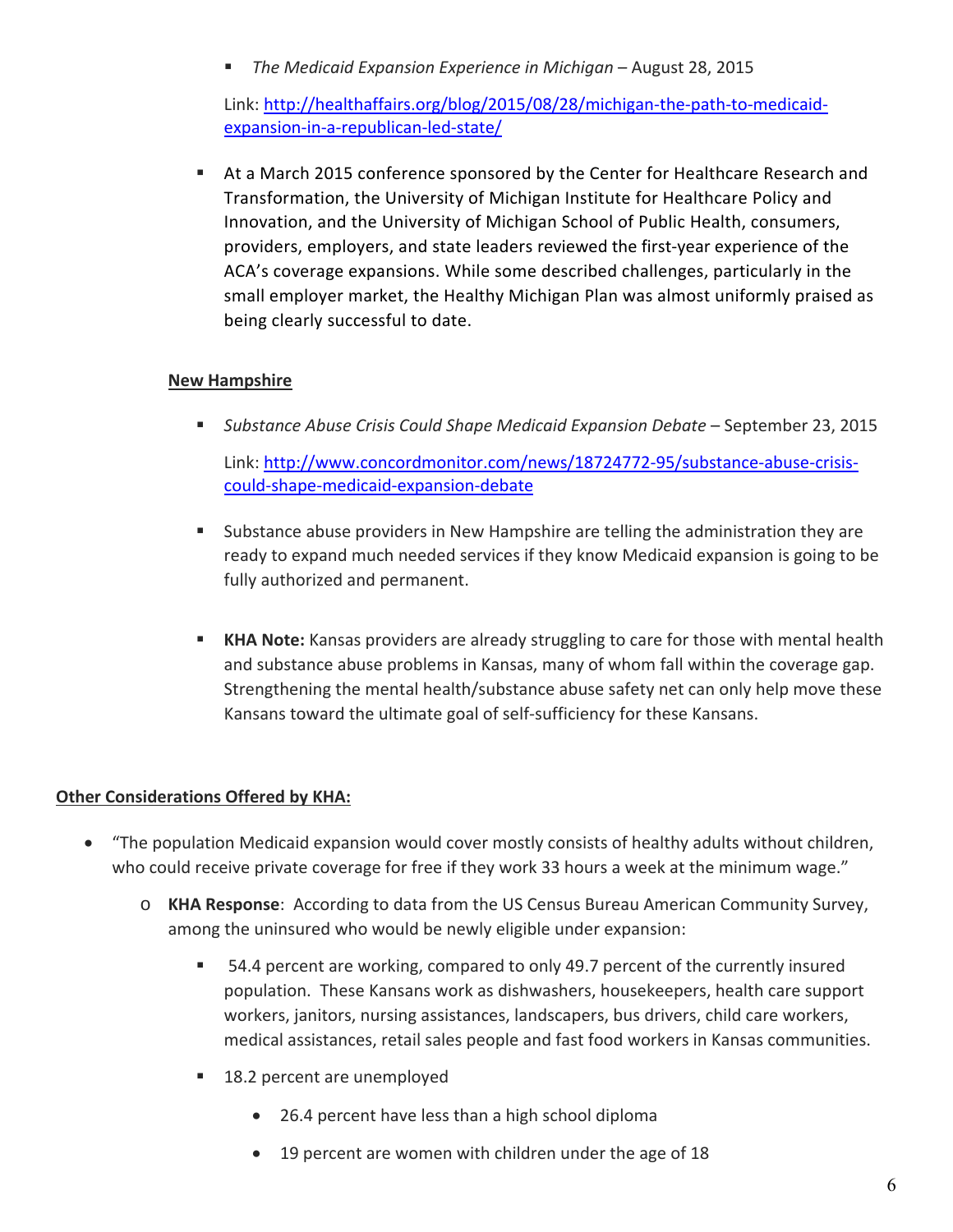*The Medicaid Expansion Experience in Michigan* – August 28, 2015

Link: http://healthaffairs.org/blog/2015/08/28/michigan‐the‐path‐to‐medicaid‐ expansion-in-a-republican-led-state/

 At a March 2015 conference sponsored by the Center for Healthcare Research and Transformation, the University of Michigan Institute for Healthcare Policy and Innovation, and the University of Michigan School of Public Health, consumers, providers, employers, and state leaders reviewed the first‐year experience of the ACA's coverage expansions. While some described challenges, particularly in the small employer market, the Healthy Michigan Plan was almost uniformly praised as being clearly successful to date.

## **New Hampshire**

*Substance Abuse Crisis Could Shape Medicaid Expansion Debate* – September 23, 2015

Link: http://www.concordmonitor.com/news/18724772‐95/substance‐abuse‐crisis‐ could‐shape‐medicaid‐expansion‐debate

- Substance abuse providers in New Hampshire are telling the administration they are ready to expand much needed services if they know Medicaid expansion is going to be fully authorized and permanent.
- **KHA Note:** Kansas providers are already struggling to care for those with mental health and substance abuse problems in Kansas, many of whom fall within the coverage gap. Strengthening the mental health/substance abuse safety net can only help move these Kansans toward the ultimate goal of self‐sufficiency for these Kansans.

## **Other Considerations Offered by KHA:**

- "The population Medicaid expansion would cover mostly consists of healthy adults without children, who could receive private coverage for free if they work 33 hours a week at the minimum wage."
	- o **KHA Response**: According to data from the US Census Bureau American Community Survey, among the uninsured who would be newly eligible under expansion:
		- 54.4 percent are working, compared to only 49.7 percent of the currently insured population. These Kansans work as dishwashers, housekeepers, health care support workers, janitors, nursing assistances, landscapers, bus drivers, child care workers, medical assistances, retail sales people and fast food workers in Kansas communities.
		- 18.2 percent are unemployed
			- 26.4 percent have less than a high school diploma
			- 19 percent are women with children under the age of 18